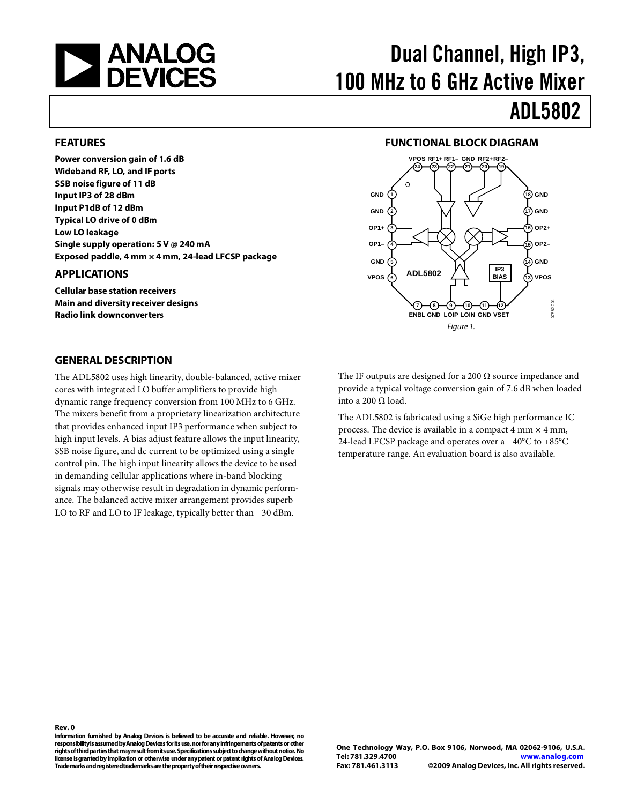

# Dual Channel, High IP3, 100 MHz to 6 GHz Active Mixer

# ADL5802

#### <span id="page-0-0"></span>**FEATURES**

**Power conversion gain of 1.6 dB Wideband RF, LO, and IF ports SSB noise figure of 11 dB Input IP3 of 28 dBm Input P1dB of 12 dBm Typical LO drive of 0 dBm Low LO leakage Single supply operation: 5 V @ 240 mA Exposed paddle, 4 mm × 4 mm, 24-lead LFCSP package**

#### <span id="page-0-1"></span>**APPLICATIONS**

**Cellular base station receivers Main and diversity receiver designs Radio link downconverters**

#### **FUNCTIONAL BLOCK DIAGRAM**

<span id="page-0-2"></span>

#### <span id="page-0-3"></span>**GENERAL DESCRIPTION**

The ADL5802 uses high linearity, double-balanced, active mixer cores with integrated LO buffer amplifiers to provide high dynamic range frequency conversion from 100 MHz to 6 GHz. The mixers benefit from a proprietary linearization architecture that provides enhanced input IP3 performance when subject to high input levels. A bias adjust feature allows the input linearity, SSB noise figure, and dc current to be optimized using a single control pin. The high input linearity allows the device to be used in demanding cellular applications where in-band blocking signals may otherwise result in degradation in dynamic performance. The balanced active mixer arrangement provides superb LO to RF and LO to IF leakage, typically better than −30 dBm.

The IF outputs are designed for a 200  $\Omega$  source impedance and provide a typical voltage conversion gain of 7.6 dB when loaded into a 200 Ω load.

The ADL5802 is fabricated using a SiGe high performance IC process. The device is available in a compact 4 mm  $\times$  4 mm, 24-lead LFCSP package and operates over a −40°C to +85°C temperature range. An evaluation board is also available.

**Information furnished by Analog Devices is believed to be accurate and reliable. However, no responsibility is assumed by Analog Devices for its use, nor for any infringements of patents or other rights of third partiesthat may result from its use. Specifications subject to change without notice. No license is granted by implication or otherwise under any patent or patent rights of Analog Devices. Trademarks and registered trademarks are the property of their respectiveowners.**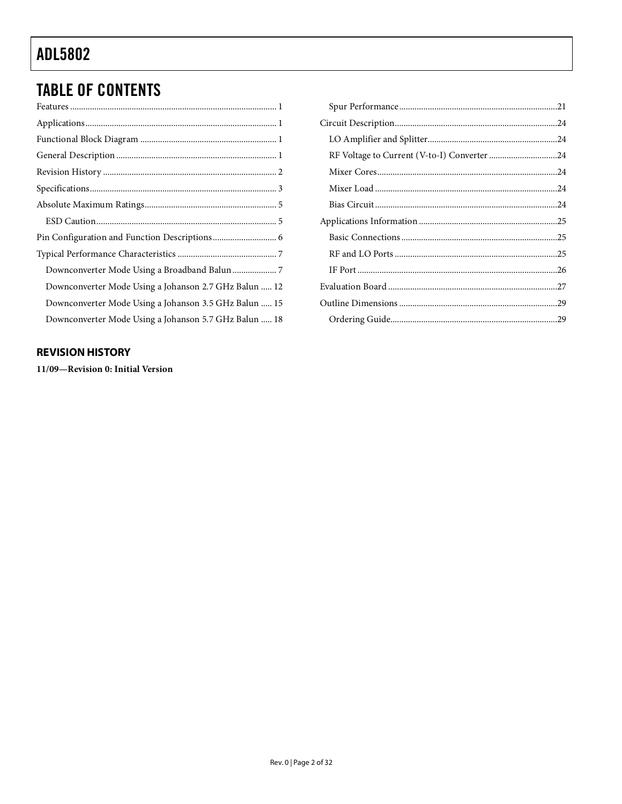## **TABLE OF CONTENTS**

| Downconverter Mode Using a Johanson 2.7 GHz Balun  12 |
|-------------------------------------------------------|
| Downconverter Mode Using a Johanson 3.5 GHz Balun  15 |
| Downconverter Mode Using a Johanson 5.7 GHz Balun  18 |

#### <span id="page-1-0"></span>**REVISION HISTORY**

11/09-Revision 0: Initial Version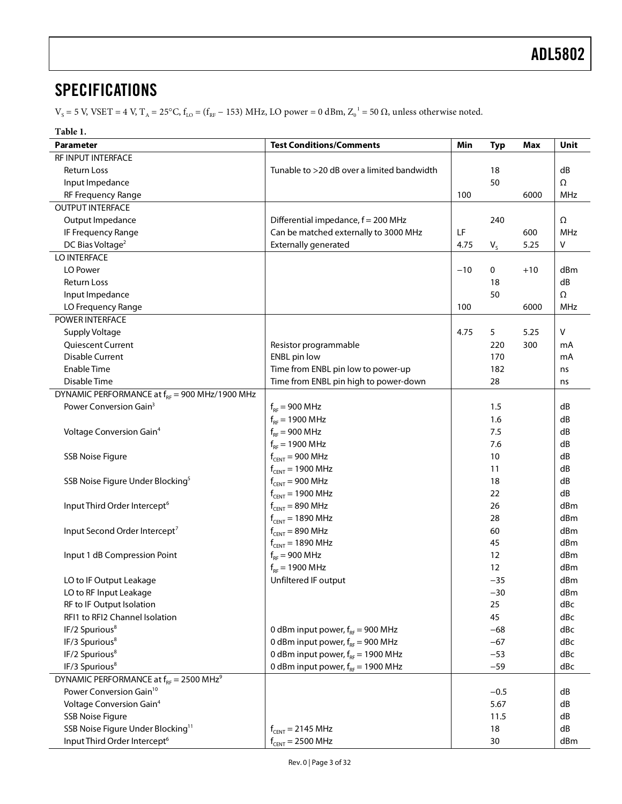### <span id="page-2-0"></span>**SPECIFICATIONS**

 $V_s = 5$  V, VSET = 4 V, T<sub>A</sub> = 25°C, f<sub>LO</sub> = (f<sub>RF</sub> - [1](#page-3-1)53) MHz, LO power = 0 dBm, Z<sub>0</sub><sup>1</sup> = 50  $\Omega$ , unless otherwise noted.

**Table 1.** 

<span id="page-2-4"></span><span id="page-2-3"></span><span id="page-2-2"></span><span id="page-2-1"></span>

| Parameter                                                 | <b>Test Conditions/Comments</b>            | Min   | <b>Typ</b>        | Max   | Unit       |
|-----------------------------------------------------------|--------------------------------------------|-------|-------------------|-------|------------|
| RF INPUT INTERFACE                                        |                                            |       |                   |       |            |
| Return Loss                                               | Tunable to >20 dB over a limited bandwidth |       | 18                |       | dB         |
| Input Impedance                                           |                                            |       | 50                |       | Ω          |
| RF Frequency Range                                        |                                            | 100   |                   | 6000  | <b>MHz</b> |
| <b>OUTPUT INTERFACE</b>                                   |                                            |       |                   |       |            |
| Output Impedance                                          | Differential impedance, f = 200 MHz        |       | 240               |       | Ω          |
| IF Frequency Range                                        | Can be matched externally to 3000 MHz      | LF    |                   | 600   | <b>MHz</b> |
| DC Bias Voltage <sup>2</sup>                              | <b>Externally generated</b>                | 4.75  | $V_{S}$           | 5.25  | V          |
| LO INTERFACE                                              |                                            |       |                   |       |            |
| LO Power                                                  |                                            | $-10$ | 0                 | $+10$ | dBm        |
| <b>Return Loss</b>                                        |                                            |       | 18                |       | dB         |
| Input Impedance                                           |                                            |       | 50                |       | Ω          |
| LO Frequency Range                                        |                                            | 100   |                   | 6000  | MHz        |
| <b>POWER INTERFACE</b>                                    |                                            |       |                   |       |            |
| <b>Supply Voltage</b>                                     |                                            | 4.75  | 5                 | 5.25  | V          |
| Quiescent Current                                         | Resistor programmable                      |       | 220               | 300   | mA         |
| <b>Disable Current</b>                                    | ENBL pin low                               |       | 170               |       | mA         |
| <b>Enable Time</b>                                        | Time from ENBL pin low to power-up         |       | 182               |       | ns         |
| Disable Time                                              | Time from ENBL pin high to power-down      |       | 28                |       | ns         |
| DYNAMIC PERFORMANCE at f <sub>RF</sub> = 900 MHz/1900 MHz |                                            |       |                   |       |            |
| Power Conversion Gain <sup>3</sup>                        | $f_{RF}$ = 900 MHz                         |       | 1.5               |       | dB         |
|                                                           | $f_{RF}$ = 1900 MHz                        |       | 1.6               |       | dB         |
| Voltage Conversion Gain <sup>4</sup>                      | $f_{RF}$ = 900 MHz                         |       | 7.5               |       | dB         |
|                                                           | $f_{RF}$ = 1900 MHz                        |       | 7.6               |       | dB         |
| <b>SSB Noise Figure</b>                                   | $f_{CENT} = 900 \text{ MHz}$               |       | 10                |       | dB         |
|                                                           | $f_{CENT} = 1900 \text{ MHz}$              |       | 11                |       | dB         |
| SSB Noise Figure Under Blocking <sup>5</sup>              | $f_{CENT} = 900 \text{ MHz}$               |       | 18                |       | dB         |
|                                                           | $f_{CENT} = 1900 \text{ MHz}$              |       | 22                |       | dB         |
| Input Third Order Intercept <sup>6</sup>                  | $f_{CENT} = 890 \text{ MHz}$               |       | 26                |       | dBm        |
|                                                           | $f_{CENT} = 1890 \text{ MHz}$              |       | 28                |       | dBm        |
| Input Second Order Intercept <sup>7</sup>                 | $f_{CENT} = 890 \text{ MHz}$               |       | 60                |       | dBm        |
|                                                           | $f_{CENT} = 1890 \text{ MHz}$              |       | 45                |       | dBm        |
| Input 1 dB Compression Point                              | $f_{RF}$ = 900 MHz                         |       | 12                |       | dBm        |
|                                                           | $f_{RF}$ = 1900 MHz                        |       | $12 \overline{ }$ |       | dBm        |
| LO to IF Output Leakage                                   | Unfiltered IF output                       |       | $-35$             |       | dBm        |
| LO to RF Input Leakage                                    |                                            |       | $-30$             |       | dBm        |
| RF to IF Output Isolation                                 |                                            |       | 25                |       | dBc        |
| RFI1 to RFI2 Channel Isolation                            |                                            |       | 45                |       | dBc        |
| IF/2 Spurious <sup>8</sup>                                | 0 dBm input power, $f_{RF}$ = 900 MHz      |       | $-68$             |       | dBc        |
| IF/3 Spurious <sup>8</sup>                                | 0 dBm input power, $f_{RF}$ = 900 MHz      |       | $-67$             |       | dBc        |
| IF/2 Spurious <sup>8</sup>                                | 0 dBm input power, $f_{RF}$ = 1900 MHz     |       | $-53$             |       | dBc        |
| IF/3 Spurious <sup>8</sup>                                | 0 dBm input power, $f_{RF}$ = 1900 MHz     |       | $-59$             |       | dBc        |
| DYNAMIC PERFORMANCE at $f_{RF}$ = 2500 MHz <sup>9</sup>   |                                            |       |                   |       |            |
| Power Conversion Gain <sup>10</sup>                       |                                            |       | $-0.5$            |       | dB         |
| Voltage Conversion Gain <sup>4</sup>                      |                                            |       | 5.67              |       | dB         |
| <b>SSB Noise Figure</b>                                   |                                            |       | 11.5              |       | dB         |
| SSB Noise Figure Under Blocking <sup>11</sup>             | $f_{CENT} = 2145 \text{ MHz}$              |       | 18                |       | dB         |
| Input Third Order Intercept <sup>6</sup>                  | $f_{CENT} = 2500 \text{ MHz}$              |       | 30                |       | dBm        |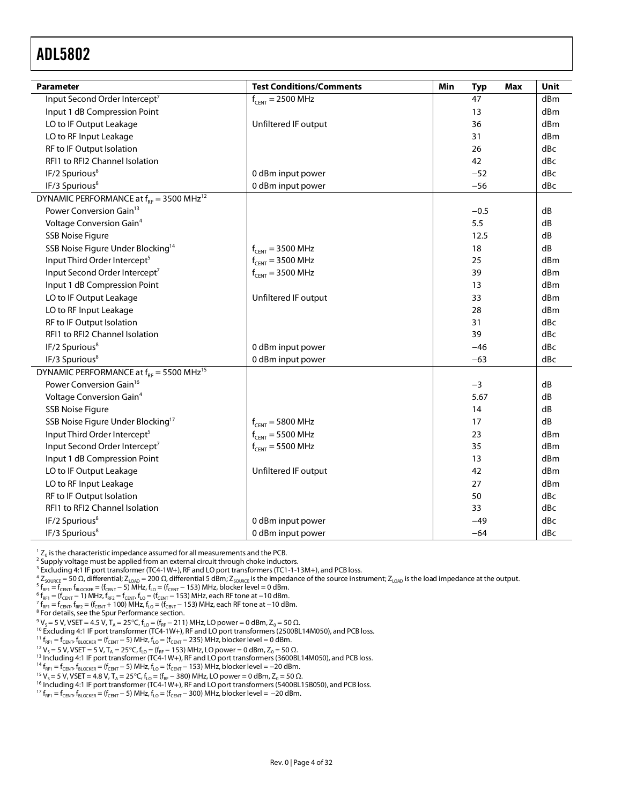<span id="page-3-1"></span>

| <b>Parameter</b>                                         | <b>Test Conditions/Comments</b> | Min<br><b>Typ</b><br>Max | Unit            |
|----------------------------------------------------------|---------------------------------|--------------------------|-----------------|
| Input Second Order Intercept7                            | $f_{CENT} = 2500 \text{ MHz}$   | 47                       | d <sub>Bm</sub> |
| Input 1 dB Compression Point                             |                                 | 13                       | d <sub>Bm</sub> |
| LO to IF Output Leakage                                  | Unfiltered IF output            | 36                       | d <sub>Bm</sub> |
| LO to RF Input Leakage                                   |                                 | 31                       | d <sub>Bm</sub> |
| RF to IF Output Isolation                                |                                 | 26                       | dBc             |
| RFI1 to RFI2 Channel Isolation                           |                                 | 42                       | dBc             |
| IF/2 Spurious <sup>8</sup>                               | 0 dBm input power               | $-52$                    | dBc             |
| IF/3 Spurious <sup>8</sup>                               | 0 dBm input power               | $-56$                    | dBc             |
| DYNAMIC PERFORMANCE at $f_{RF}$ = 3500 MHz <sup>12</sup> |                                 |                          |                 |
| Power Conversion Gain <sup>13</sup>                      |                                 | $-0.5$                   | dB              |
| Voltage Conversion Gain <sup>4</sup>                     |                                 | 5.5                      | dB              |
| <b>SSB Noise Figure</b>                                  |                                 | 12.5                     | dB              |
| SSB Noise Figure Under Blocking <sup>14</sup>            | $f_{CENT} = 3500 \text{ MHz}$   | 18                       | dB              |
| Input Third Order Intercept <sup>5</sup>                 | $f_{CENT} = 3500 \text{ MHz}$   | 25                       | dBm             |
| Input Second Order Intercept <sup>7</sup>                | $f_{CENT}$ = 3500 MHz           | 39                       | dBm             |
| Input 1 dB Compression Point                             |                                 | 13                       | d <sub>Bm</sub> |
| LO to IF Output Leakage                                  | Unfiltered IF output            | 33                       | d <sub>Bm</sub> |
| LO to RF Input Leakage                                   |                                 | 28                       | dBm             |
| RF to IF Output Isolation                                |                                 | 31                       | dBc             |
| RFI1 to RFI2 Channel Isolation                           |                                 | 39                       | dBc             |
| IF/2 Spurious <sup>8</sup>                               | 0 dBm input power               | $-46$                    | dBc             |
| IF/3 Spurious <sup>8</sup>                               | 0 dBm input power               | $-63$                    | dBc             |
| DYNAMIC PERFORMANCE at $f_{RF}$ = 5500 MHz <sup>15</sup> |                                 |                          |                 |
| Power Conversion Gain <sup>16</sup>                      |                                 | $-3$                     | dB              |
| Voltage Conversion Gain <sup>4</sup>                     |                                 | 5.67                     | dB              |
| <b>SSB Noise Figure</b>                                  |                                 | 14                       | dB              |
| SSB Noise Figure Under Blocking <sup>17</sup>            | $f_{CENT} = 5800 \text{ MHz}$   | 17                       | dB              |
| Input Third Order Intercept <sup>5</sup>                 | $f_{CENT} = 5500 \text{ MHz}$   | 23                       | dBm             |
| Input Second Order Intercept <sup>7</sup>                | $f_{CENT}$ = 5500 MHz           | 35                       | dBm             |
| Input 1 dB Compression Point                             |                                 | 13                       | dBm             |
| LO to IF Output Leakage                                  | Unfiltered IF output            | 42                       | dBm             |
| LO to RF Input Leakage                                   |                                 | 27                       | d <sub>Bm</sub> |
| RF to IF Output Isolation                                |                                 | 50                       | dBc             |
| RFI1 to RFI2 Channel Isolation                           |                                 | 33                       | dBc             |
| IF/2 Spurious <sup>8</sup>                               | 0 dBm input power               | $-49$                    | dBc             |
| IF/3 Spurious <sup>8</sup>                               | 0 dBm input power               | $-64$                    | dBc             |

<span id="page-3-0"></span> ${}^{1}Z_{0}$  is the characteristic impedance assumed for all measurements and the PCB.

<sup>2</sup> Supply voltage must be applied from an external circuit through choke inductors.<br><sup>3</sup> Excluding 4:1 IF port transformer (TC4-1W+), RF and LO port transformers (TC1-1-13M+), and PCB loss.

<sup>4</sup> Z<sub>SOURCE</sub> = 50 Ω, differential; Z<sub>LOAD</sub> = 200 Ω, differential 5 dBm; Z<sub>SOURCE</sub> is the impedance of the source instrument; Z<sub>LOAD</sub> is the load impedance at the output.<br><sup>5 f</sup> = f f f = <sup>(f</sup> = 5) MHz f = (f = 153) MHz

<sup>5</sup> f<sub>RF1</sub> = f<sub>CENT</sub>, f<sub>BLOCKER</sub> = (f<sub>CENT</sub> − 5) MHz, f<sub>LO</sub> = (f<sub>CENT</sub> − 153) MHz, blocker level = 0 dBm.<br><sup>6</sup> f = (f = 1) MHz f = f f = (f = 153) MHz each RE tone at −10 dBm.

 $f_{RF1} = (f_{\text{CBNT}} - 1)$  MHz,  $f_{RF2} = f_{\text{CBNT}}$ ,  $f_{\text{LO}} = (f_{\text{CBNT}} - 153)$  MHz, each RF tone at −10 dBm.<br><sup>7</sup> f = f f = (f = 1,100) MHz f = (f = 153) MHz each RF tone at -10 dB

 $\frac{7}{16F1} = \frac{C_{\text{CUT}}}{16F2F1}$  f<sub>RF2</sub> = (f<sub>CENT</sub> + 100) MHz, f<sub>LO</sub> = (f<sub>CENT</sub> − 153) MHz, each RF tone at −10 dBm.<br><sup>8</sup> For details, see th[e Spur Performance](#page-20-0) section.

 $^9$  V<sub>S</sub> = 5 V, VSET = 4.5 V, T<sub>A</sub> = 25°C, f<sub>LO</sub> = (f<sub>RF</sub> − 211) MHz, LO power = 0 dBm, Z<sub>0</sub> = 50 Ω.<br><sup>10</sup> Excluding 4:1 IF port transformer (TC4-1W+), RF and LO port transformers (2500BL14M050), and PCB loss.

 $11 f_{RF1} = f_{CENT}$ ,  $f_{BLOCKER} = (f_{CENT} - 5)$  MHz,  $f_{LO} = (f_{CENT} - 235)$  MHz, blocker level = 0 dBm.

<sup>12</sup> V<sub>S</sub> = 5 V, VSET = 5 V, T<sub>A</sub> = 25°C, f<sub>LO</sub> = (f<sub>RF</sub> – 153) MHz, LO power = 0 dBm, Z<sub>0</sub> = 50 Ω.<br><sup>13</sup> Including 4:1 IF port transformer (TC4-1W+), RF and LO port transformers (3600BL14M050), and PCB loss.

 $^{14}$  f<sub>RF1</sub> = f<sub>CENT</sub>, f<sub>BLOCKER</sub> = (f<sub>CENT</sub> − 5) MHz, f<sub>LO</sub> = (f<sub>CENT</sub> − 153) MHz, blocker level = −20 dBm.

15  $V_s = 5$  V, VSET = 4.8 V, T<sub>A</sub> = 25°C, f<sub>LO</sub> = (f<sub>RF</sub> – 380) MHz, LO power = 0 dBm, Z<sub>0</sub> = 50 Ω.<br><sup>16</sup> Including 4:1 IF port transformer (TC4-1W+), RF and LO port transformers (5400BL15B050), and PCB loss.

 $^{17}$  f<sub>RF1</sub> = f<sub>CENT</sub>, f<sub>BLOCKER</sub> = (f<sub>CENT</sub> – 5) MHz, f<sub>LO</sub> = (f<sub>CENT</sub> – 300) MHz, blocker level = -20 dBm.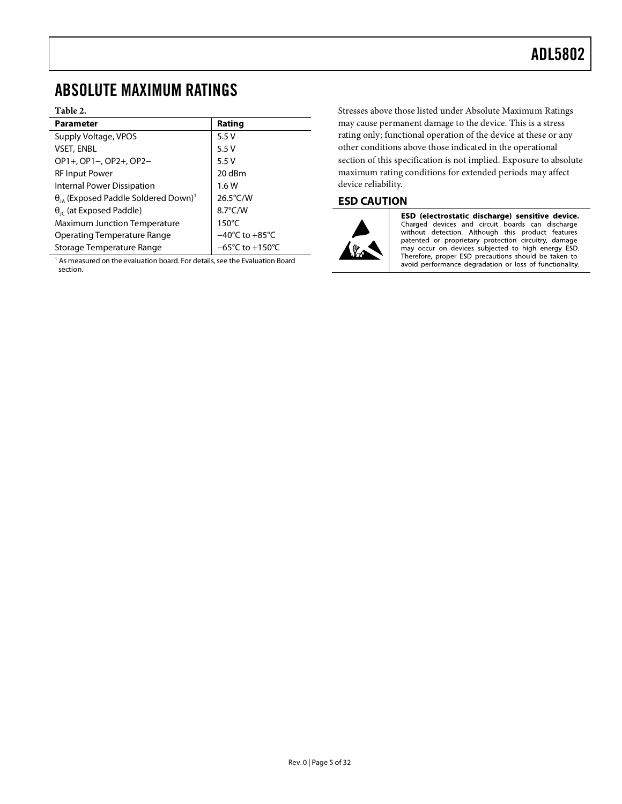#### <span id="page-4-0"></span>ABSOLUTE MAXIMUM RATINGS

#### **Table 2.**

| <b>Parameter</b>                                                 | Rating                              |
|------------------------------------------------------------------|-------------------------------------|
| Supply Voltage, VPOS                                             | 5.5V                                |
| <b>VSET, ENBL</b>                                                | 5.5V                                |
| OP1+, OP1-, OP2+, OP2-                                           | 5.5V                                |
| <b>RF Input Power</b>                                            | 20 dBm                              |
| <b>Internal Power Dissipation</b>                                | 1.6W                                |
| $\theta_{\text{IA}}$ (Exposed Paddle Soldered Down) <sup>1</sup> | $26.5^{\circ}$ C/W                  |
| $\theta_{\text{IC}}$ (at Exposed Paddle)                         | $8.7^{\circ}$ C/W                   |
| <b>Maximum Junction Temperature</b>                              | $150^{\circ}$ C                     |
| Operating Temperature Range                                      | $-40^{\circ}$ C to $+85^{\circ}$ C  |
| Storage Temperature Range                                        | $-65^{\circ}$ C to $+150^{\circ}$ C |

 $1$  As measured on the evaluation board. For details, see th[e Evaluation Board](#page-26-0) section.

Stresses above those listed under Absolute Maximum Ratings may cause permanent damage to the device. This is a stress rating only; functional operation of the device at these or any other conditions above those indicated in the operational section of this specification is not implied. Exposure to absolute maximum rating conditions for extended periods may affect device reliability.

#### <span id="page-4-1"></span>**ESD CAUTION**



ESD (electrostatic discharge) sensitive device. Charged devices and circuit boards can discharge<br>without detection. Although this product features patented or proprietary protection circuitry, damage<br>may occur on devices subjected to high energy ESD. Therefore, proper ESD precautions should be taken to<br>avoid performance degradation or loss of functionality.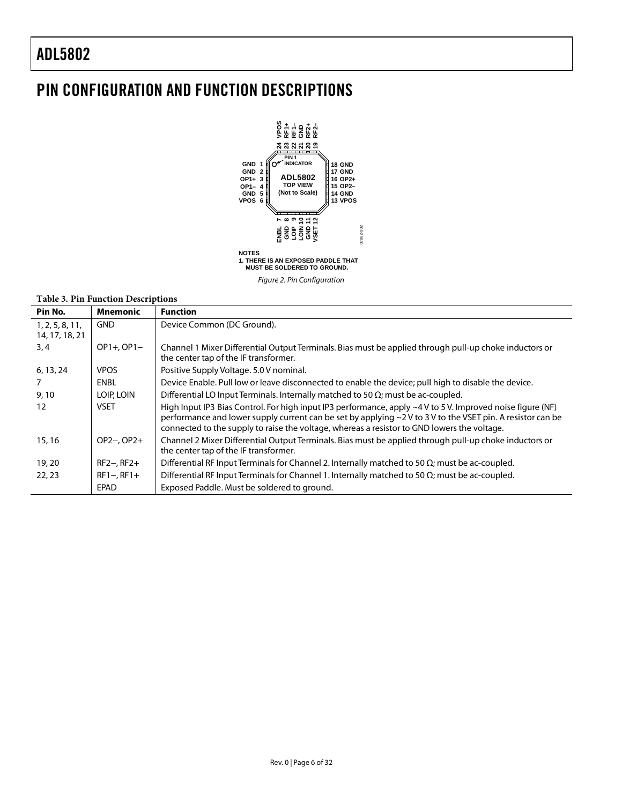### <span id="page-5-0"></span>PIN CONFIGURATION AND FUNCTION DESCRIPTIONS



*Figure 2. Pin Configuration*

#### **Table 3. Pin Function Descriptions**

| Pin No.                           | Mnemonic     | <b>Function</b>                                                                                                                                                                                                                                                                                                               |
|-----------------------------------|--------------|-------------------------------------------------------------------------------------------------------------------------------------------------------------------------------------------------------------------------------------------------------------------------------------------------------------------------------|
| 1, 2, 5, 8, 11,<br>14, 17, 18, 21 | <b>GND</b>   | Device Common (DC Ground).                                                                                                                                                                                                                                                                                                    |
| 3,4                               | $OP1+OP1-$   | Channel 1 Mixer Differential Output Terminals. Bias must be applied through pull-up choke inductors or<br>the center tap of the IF transformer.                                                                                                                                                                               |
| 6, 13, 24                         | <b>VPOS</b>  | Positive Supply Voltage. 5.0 V nominal.                                                                                                                                                                                                                                                                                       |
| 7                                 | <b>ENBL</b>  | Device Enable. Pull low or leave disconnected to enable the device; pull high to disable the device.                                                                                                                                                                                                                          |
| 9,10                              | LOIP, LOIN   | Differential LO Input Terminals. Internally matched to 50 $\Omega$ ; must be ac-coupled.                                                                                                                                                                                                                                      |
| 12                                | <b>VSET</b>  | High Input IP3 Bias Control. For high input IP3 performance, apply $\sim$ 4 V to 5 V. Improved noise figure (NF)<br>performance and lower supply current can be set by applying ~2 V to 3 V to the VSET pin. A resistor can be<br>connected to the supply to raise the voltage, whereas a resistor to GND lowers the voltage. |
| 15, 16                            | $OP2-, OP2+$ | Channel 2 Mixer Differential Output Terminals. Bias must be applied through pull-up choke inductors or<br>the center tap of the IF transformer.                                                                                                                                                                               |
| 19, 20                            | $RF2-, RF2+$ | Differential RF Input Terminals for Channel 2. Internally matched to 50 $\Omega$ ; must be ac-coupled.                                                                                                                                                                                                                        |
| 22, 23                            | $RF1-, RF1+$ | Differential RF Input Terminals for Channel 1. Internally matched to 50 $\Omega$ ; must be ac-coupled.                                                                                                                                                                                                                        |
|                                   | <b>EPAD</b>  | Exposed Paddle. Must be soldered to ground.                                                                                                                                                                                                                                                                                   |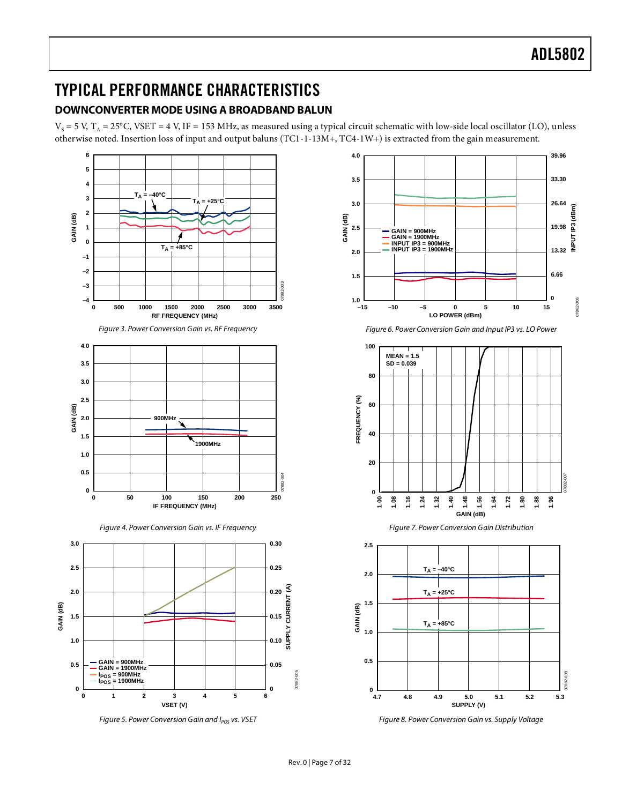#### <span id="page-6-1"></span><span id="page-6-0"></span>TYPICAL PERFORMANCE CHARACTERISTICS **DOWNCONVERTER MODE USING A BROADBAND BALUN**

 $V_s$  = 5 V, T<sub>A</sub> = 25°C, VSET = 4 V, IF = 153 MHz, as measured using a typical circuit schematic with low-side local oscillator (LO), unless otherwise noted. Insertion loss of input and output baluns (TC1-1-13M+, TC4-1W+) is extracted from the gain measurement.



*Figure 5. Power Conversion Gain and I<sub>POS</sub> vs. VSET* 





*Figure 7. Power Conversion Gain Distribution*



*Figure 8. Power Conversion Gain vs. Supply Voltage*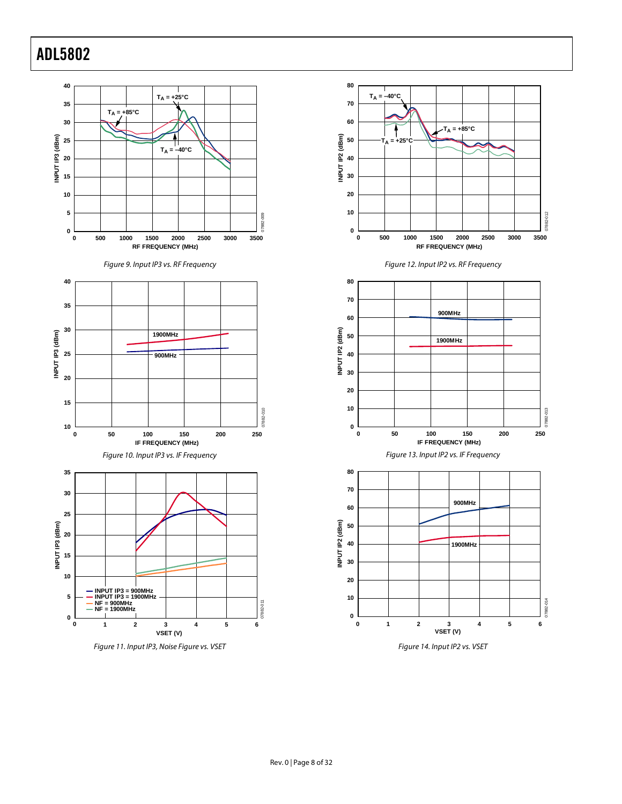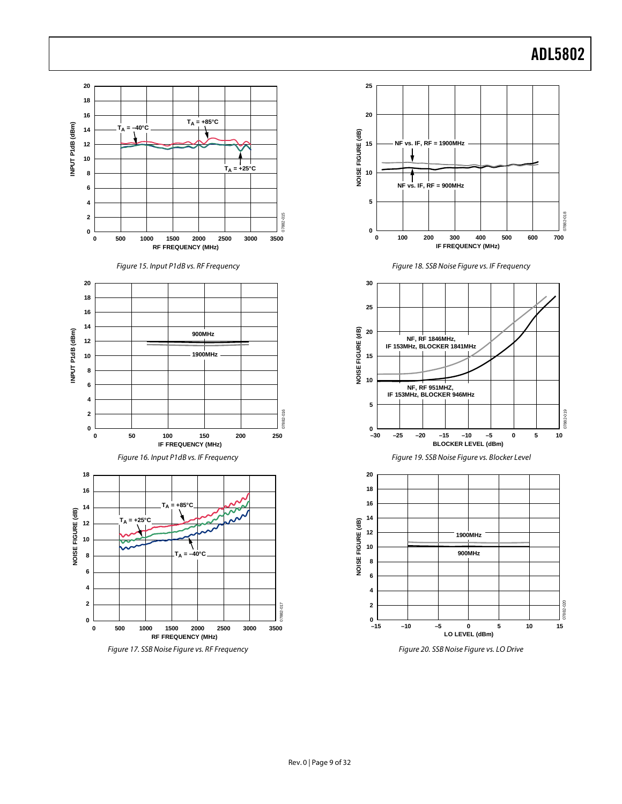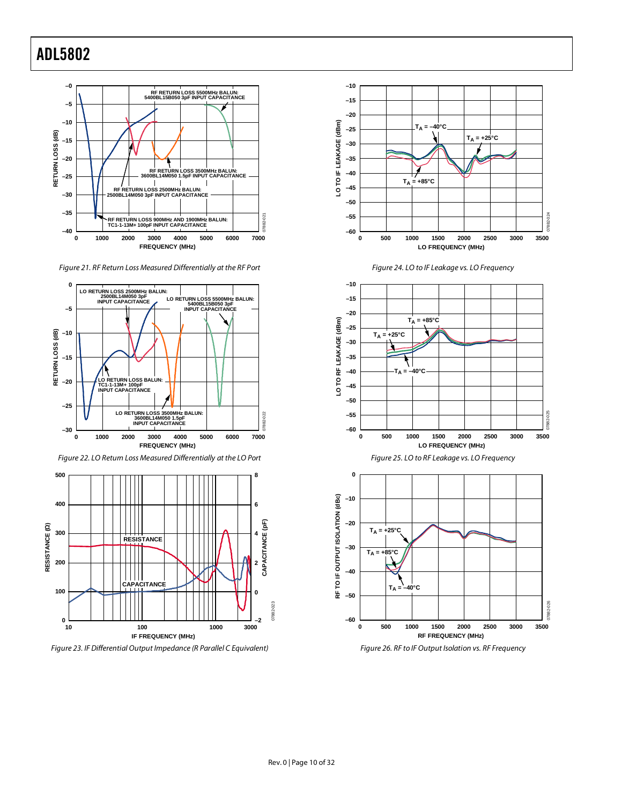

*Figure 21. RF Return Loss Measured Differentially at the RF Port*



*Figure 22. LO Return Loss Measured Differentially at the LO Port*



*Figure 23. IF Differential Output Impedance (R Parallel C Equivalent)*









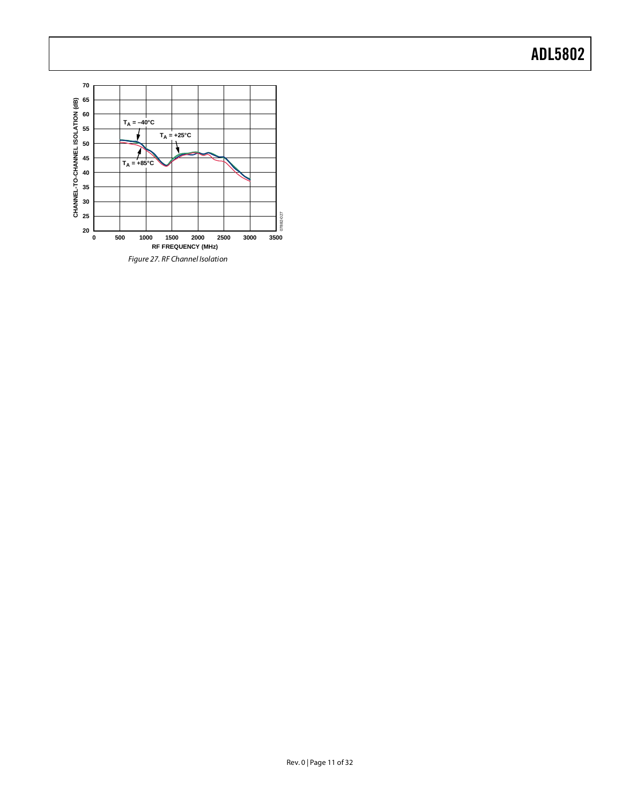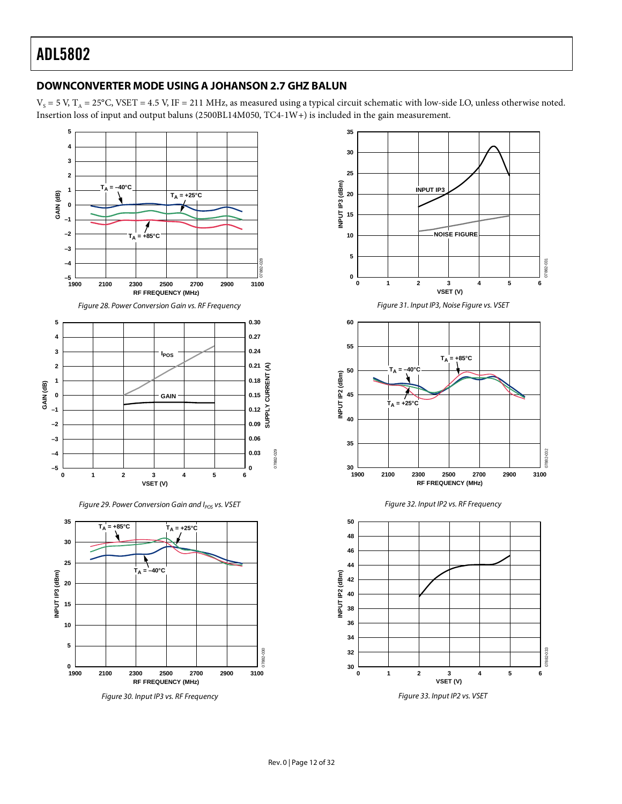#### <span id="page-11-0"></span>**DOWNCONVERTER MODE USING A JOHANSON 2.7 GHZ BALUN**

 $V_s$  = 5 V, T<sub>A</sub> = 25°C, VSET = 4.5 V, IF = 211 MHz, as measured using a typical circuit schematic with low-side LO, unless otherwise noted. Insertion loss of input and output baluns (2500BL14M050, TC4-1W+) is included in the gain measurement.





*Figure 30. Input IP3 vs. RF Frequency*

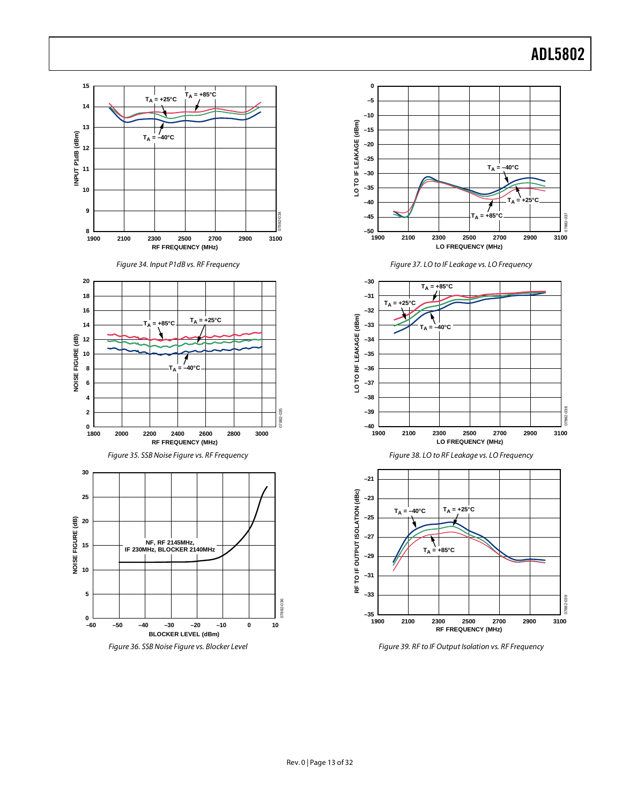

*Figure 39. RF to IF Output Isolation vs. RF Frequency*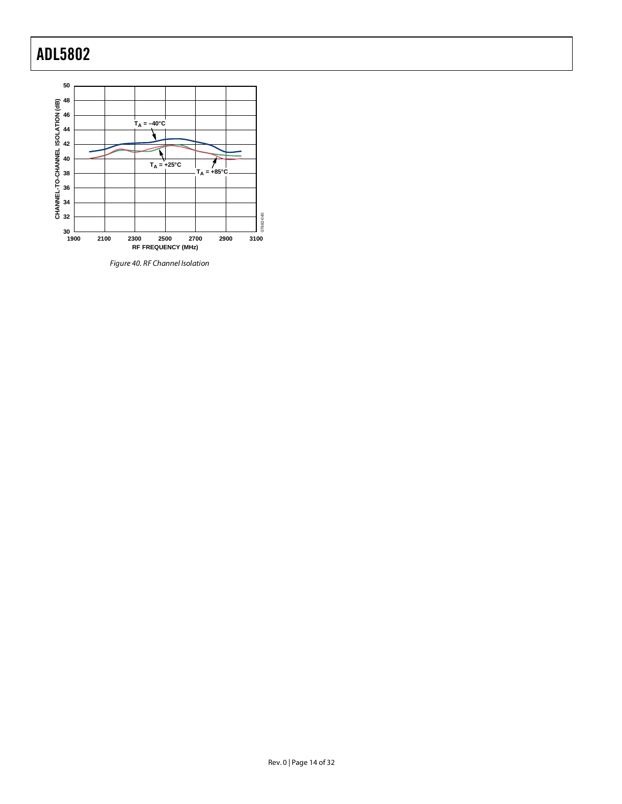

*Figure 40. RF Channel Isolation*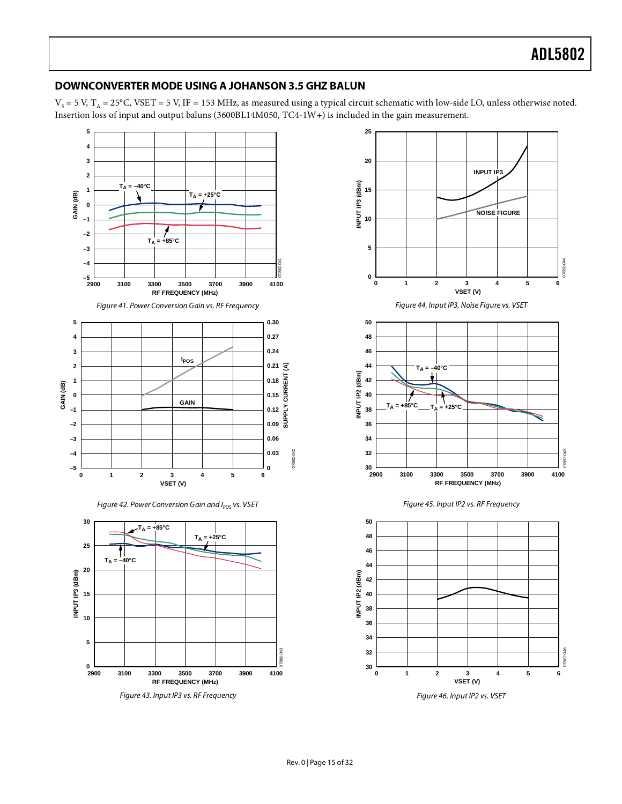#### <span id="page-14-0"></span>**DOWNCONVERTER MODE USING A JOHANSON 3.5 GHZ BALUN**

 $V_s$  = 5 V, T<sub>A</sub> = 25°C, VSET = 5 V, IF = 153 MHz, as measured using a typical circuit schematic with low-side LO, unless otherwise noted. Insertion loss of input and output baluns (3600BL14M050, TC4-1W+) is included in the gain measurement.



*Figure 43. Input IP3 vs. RF Frequency*

**2900 3100 3300 3500 3700 3900 4100**

**RF FREQUENCY (MHz)**





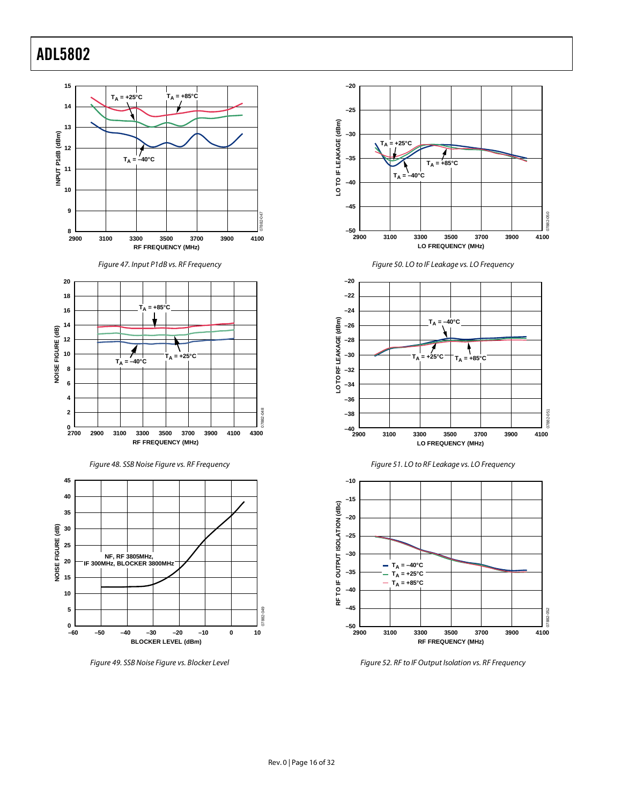





*Figure 49. SSB Noise Figure vs. Blocker Level*











*Figure 52. RF to IF Output Isolation vs. RF Frequency*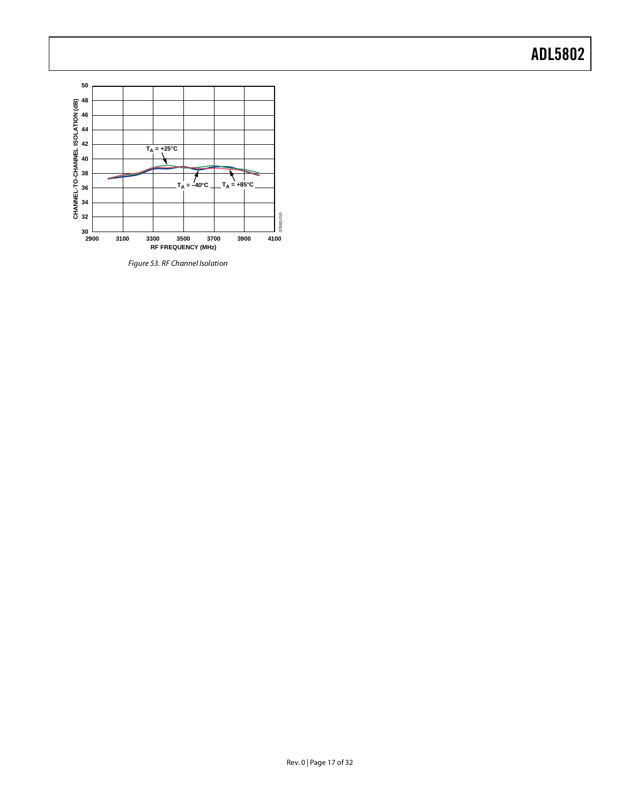

*Figure 53. RF Channel Isolation*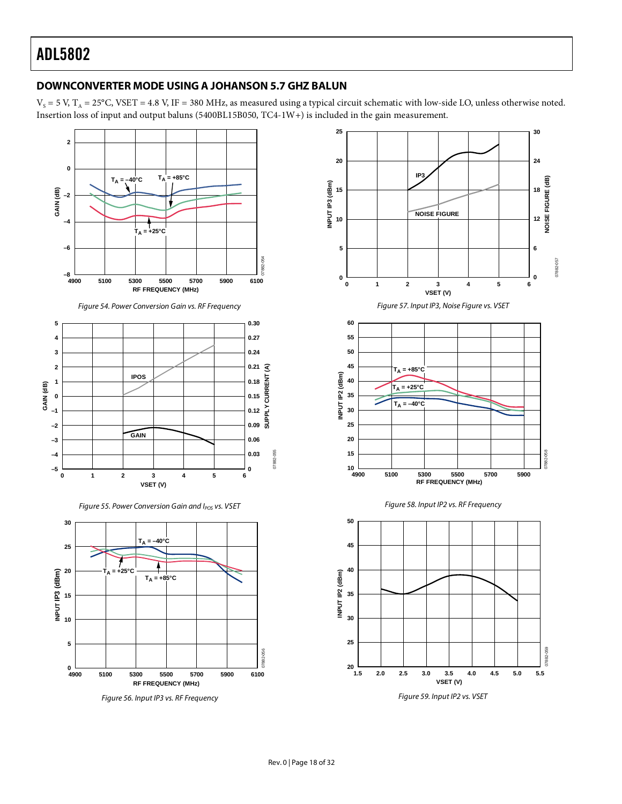#### <span id="page-17-0"></span>**DOWNCONVERTER MODE USING A JOHANSON 5.7 GHZ BALUN**

 $V_s$  = 5 V, T<sub>A</sub> = 25°C, VSET = 4.8 V, IF = 380 MHz, as measured using a typical circuit schematic with low-side LO, unless otherwise noted. Insertion loss of input and output baluns (5400BL15B050, TC4-1W+) is included in the gain measurement.





*Figure 56. Input IP3 vs. RF Frequency*



*Figure 59. Input IP2 vs. VSET*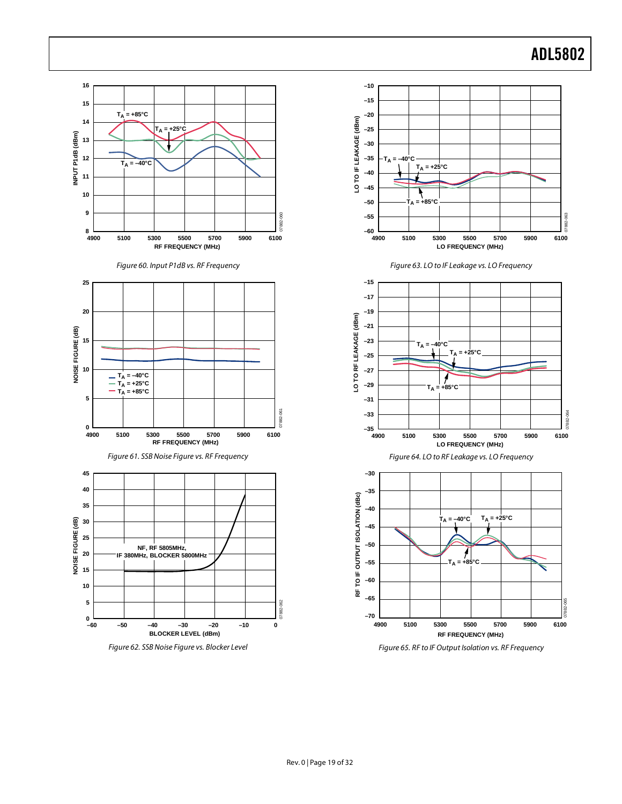

*Figure 65. RF to IF Output Isolation vs. RF Frequency*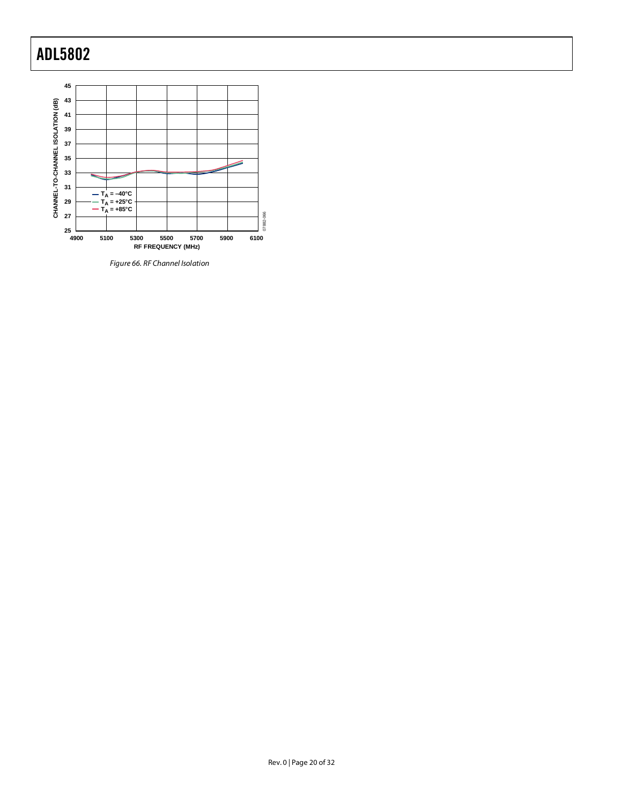

*Figure 66. RF Channel Isolation*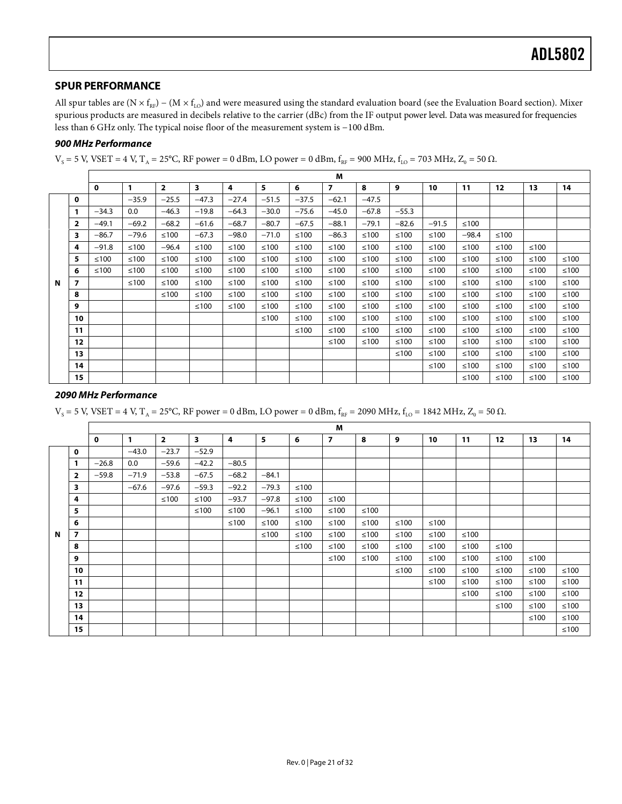#### <span id="page-20-0"></span>**SPUR PERFORMANCE**

All spur tables are (N  $\times$  f<sub>RF</sub>) – (M  $\times$  f<sub>LO</sub>) and were measured using the standard evaluation board (see th[e Evaluation Board](#page-26-0) section). Mixer spurious products are measured in decibels relative to the carrier (dBc) from the IF output power level. Data was measured for frequencies less than 6 GHz only. The typical noise floor of the measurement system is −100 dBm.

#### *900 MHz Performance*

 $V_s$  = 5 V, VSET = 4 V, T<sub>A</sub> = 25°C, RF power = 0 dBm, LO power = 0 dBm,  $f_{RF}$  = 900 MHz,  $f_{LO}$  = 703 MHz, Z<sub>0</sub> = 50  $\Omega$ .

|   |                         |              |         |                |         |                |         |         | M              |         |         |         |         |        |        |        |
|---|-------------------------|--------------|---------|----------------|---------|----------------|---------|---------|----------------|---------|---------|---------|---------|--------|--------|--------|
|   |                         | $\mathbf{o}$ | 1       | $\overline{2}$ | 3       | $\overline{4}$ | 5       | 6       | $\overline{7}$ | 8       | 9       | 10      | 11      | 12     | 13     | 14     |
|   | 0                       |              | $-35.9$ | $-25.5$        | $-47.3$ | $-27.4$        | $-51.5$ | $-37.5$ | $-62.1$        | $-47.5$ |         |         |         |        |        |        |
|   | 1                       | $-34.3$      | 0.0     | $-46.3$        | $-19.8$ | $-64.3$        | $-30.0$ | $-75.6$ | $-45.0$        | $-67.8$ | $-55.3$ |         |         |        |        |        |
|   | $\overline{\mathbf{2}}$ | $-49.1$      | $-69.2$ | $-68.2$        | $-61.6$ | $-68.7$        | $-80.7$ | $-67.5$ | $-88.1$        | $-79.1$ | $-82.6$ | $-91.5$ | $≤100$  |        |        |        |
|   | 3                       | $-86.7$      | $-79.6$ | ≤100           | $-67.3$ | $-98.0$        | $-71.0$ | ≤100    | $-86.3$        | ≤100    | ≤100    | ≤100    | $-98.4$ | ≤100   |        |        |
|   | 4                       | $-91.8$      | ≤100    | $-96.4$        | ≤100    | ≤100           | ≤100    | ≤100    | $≤100$         | ≤100    | ≤100    | $≤100$  | ≤100    | ≤100   | ≤100   |        |
|   | 5                       | ≤100         | ≤100    | ≤100           | ≤100    | ≤100           | ≤100    | ≤100    | ≤100           | $≤100$  | ≤100    | $≤100$  | ≤100    | $≤100$ | ≤100   | $≤100$ |
|   | 6                       | ≤100         | ≤100    | $≤100$         | $≤100$  | ≤100           | ≤100    | ≤100    | ≤100           | $≤100$  | ≤100    | $≤100$  | ≤100    | $≤100$ | $≤100$ | $≤100$ |
| N | $\overline{z}$          |              | $≤100$  | $≤100$         | $≤100$  | ≤100           | ≤100    | ≤100    | $≤100$         | $≤100$  | ≤100    | $≤100$  | $≤100$  | $≤100$ | $≤100$ | $≤100$ |
|   | 8                       |              |         | $≤100$         | ≤100    | ≤100           | ≤100    | ≤100    | $≤100$         | $≤100$  | ≤100    | $≤100$  | ≤100    | $≤100$ | ≤100   | $≤100$ |
|   | 9                       |              |         |                | ≤100    | ≤100           | ≤100    | $≤100$  | $≤100$         | $≤100$  | ≤100    | $≤100$  | ≤100    | $≤100$ | $≤100$ | $≤100$ |
|   | 10                      |              |         |                |         |                | ≤100    | ≤100    | $≤100$         | $≤100$  | ≤100    | $≤100$  | ≤100    | ≤100   | ≤100   | $≤100$ |
|   | 11                      |              |         |                |         |                |         | $≤100$  | $≤100$         | $≤100$  | $≤100$  | ≤100    | ≤100    | $≤100$ | $≤100$ | $≤100$ |
|   | 12 <sup>2</sup>         |              |         |                |         |                |         |         | $≤100$         | ≤100    | ≤100    | ≤100    | ≤100    | $≤100$ | $≤100$ | $≤100$ |
|   | 13                      |              |         |                |         |                |         |         |                |         | ≤100    | ≤100    | $≤100$  | $≤100$ | $≤100$ | $≤100$ |
|   | 14                      |              |         |                |         |                |         |         |                |         |         | ≤100    | ≤100    | $≤100$ | ≤100   | ≤100   |
|   | 15                      |              |         |                |         |                |         |         |                |         |         |         | ≤100    | ≤100   | ≤100   | ≤100   |

#### *2090 MHz Performance*

 $V_s$  = 5 V, VSET = 4 V, T<sub>A</sub> = 25°C, RF power = 0 dBm, LO power = 0 dBm,  $f_{RF}$  = 2090 MHz,  $f_{LO}$  = 1842 MHz, Z<sub>0</sub> = 50 Ω.

|   |                          |              |              |                |                         |                |         |        | M              |        |      |        |        |                   |        |        |
|---|--------------------------|--------------|--------------|----------------|-------------------------|----------------|---------|--------|----------------|--------|------|--------|--------|-------------------|--------|--------|
|   |                          | $\mathbf{o}$ | $\mathbf{1}$ | $\overline{2}$ | $\overline{\mathbf{3}}$ | $\overline{4}$ | 5       | 6      | $\overline{7}$ | 8      | 9    | 10     | 11     | $12 \overline{ }$ | 13     | 14     |
|   | $\mathbf{0}$             |              | $-43.0$      | $-23.7$        | $-52.9$                 |                |         |        |                |        |      |        |        |                   |        |        |
|   | 1                        | $-26.8$      | $0.0\,$      | $-59.6$        | $-42.2$                 | $-80.5$        |         |        |                |        |      |        |        |                   |        |        |
|   | 2                        | $-59.8$      | $-71.9$      | $-53.8$        | $-67.5$                 | $-68.2$        | $-84.1$ |        |                |        |      |        |        |                   |        |        |
|   | 3                        |              | $-67.6$      | $-97.6$        | $-59.3$                 | $-92.2$        | $-79.3$ | $≤100$ |                |        |      |        |        |                   |        |        |
|   | 4                        |              |              | ≤100           | ≤100                    | $-93.7$        | $-97.8$ | ≤100   | ≤100           |        |      |        |        |                   |        |        |
|   | 5                        |              |              |                | ≤100                    | $≤100$         | $-96.1$ | $≤100$ | $≤100$         | $≤100$ |      |        |        |                   |        |        |
|   | 6                        |              |              |                |                         | $≤100$         | $≤100$  | $≤100$ | $≤100$         | $≤100$ | ≤100 | $≤100$ |        |                   |        |        |
| N | $\overline{\phantom{a}}$ |              |              |                |                         |                | ≤100    | ≤100   | ≤100           | $≤100$ | ≤100 | $≤100$ | ≤100   |                   |        |        |
|   | 8                        |              |              |                |                         |                |         | ≤100   | ≤100           | $≤100$ | ≤100 | $≤100$ | $≤100$ | ≤100              |        |        |
|   | 9                        |              |              |                |                         |                |         |        | ≤100           | ≤100   | ≤100 | $≤100$ | $≤100$ | ≤100              | ≤100   |        |
|   | 10                       |              |              |                |                         |                |         |        |                |        | ≤100 | $≤100$ | ≤100   | ≤100              | ≤100   | $≤100$ |
|   | 11                       |              |              |                |                         |                |         |        |                |        |      | $≤100$ | $≤100$ | ≤100              | ≤100   | $≤100$ |
|   | 12                       |              |              |                |                         |                |         |        |                |        |      |        | $≤100$ | ≤100              | ≤100   | $≤100$ |
|   | 13                       |              |              |                |                         |                |         |        |                |        |      |        |        | ≤100              | $≤100$ | ≤100   |
|   | 14                       |              |              |                |                         |                |         |        |                |        |      |        |        |                   | $≤100$ | ≤100   |
|   | 15                       |              |              |                |                         |                |         |        |                |        |      |        |        |                   |        | $≤100$ |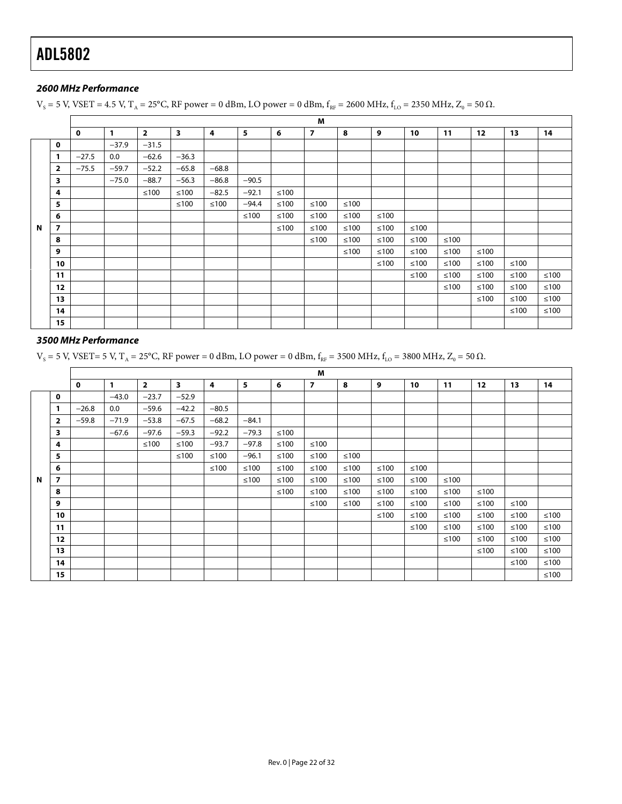#### *2600 MHz Performance*

 $V_s$  = 5 V, VSET = 4.5 V, T<sub>A</sub> = 25°C, RF power = 0 dBm, LO power = 0 dBm,  $f_{RF}$  = 2600 MHz,  $f_{LO}$  = 2350 MHz,  $Z_0$  = 50  $\Omega$ .

|             |                |         |              |                |         |         |         |            | M              |        |        |        |        |        |        |        |
|-------------|----------------|---------|--------------|----------------|---------|---------|---------|------------|----------------|--------|--------|--------|--------|--------|--------|--------|
|             |                | 0       | $\mathbf{1}$ | $\overline{2}$ | 3       | 4       | 5       | 6          | $\overline{7}$ | 8      | 9      | 10     | 11     | 12     | 13     | 14     |
|             | $\mathbf 0$    |         | $-37.9$      | $-31.5$        |         |         |         |            |                |        |        |        |        |        |        |        |
|             | 1              | $-27.5$ | 0.0          | $-62.6$        | $-36.3$ |         |         |            |                |        |        |        |        |        |        |        |
|             | $\overline{2}$ | $-75.5$ | $-59.7$      | $-52.2$        | $-65.8$ | $-68.8$ |         |            |                |        |        |        |        |        |        |        |
|             | 3              |         | $-75.0$      | $-88.7$        | $-56.3$ | $-86.8$ | $-90.5$ |            |                |        |        |        |        |        |        |        |
|             | 4              |         |              | ≤100           | $≤100$  | $-82.5$ | $-92.1$ | $\leq 100$ |                |        |        |        |        |        |        |        |
|             | 5              |         |              |                | ≤100    | $≤100$  | $-94.4$ | $≤100$     | $≤100$         | $≤100$ |        |        |        |        |        |        |
|             | 6              |         |              |                |         |         | ≤100    | $≤100$     | $≤100$         | $≤100$ | $≤100$ |        |        |        |        |        |
| $\mathbf N$ | 7              |         |              |                |         |         |         | ≤100       | ≤100           | $≤100$ | ≤100   | ≤100   |        |        |        |        |
|             | 8              |         |              |                |         |         |         |            | $≤100$         | $≤100$ | $≤100$ | $≤100$ | $≤100$ |        |        |        |
|             | 9              |         |              |                |         |         |         |            |                | ≤100   | ≤100   | $≤100$ | $≤100$ | $≤100$ |        |        |
|             | 10             |         |              |                |         |         |         |            |                |        | $≤100$ | $≤100$ | $≤100$ | $≤100$ | ≤100   |        |
|             | 11             |         |              |                |         |         |         |            |                |        |        | ≤100   | $≤100$ | ≤100   | ≤100   | ≤100   |
|             | 12             |         |              |                |         |         |         |            |                |        |        |        | $≤100$ | ≤100   | ≤100   | $≤100$ |
|             | 13             |         |              |                |         |         |         |            |                |        |        |        |        | $≤100$ | $≤100$ | $≤100$ |
|             | 14             |         |              |                |         |         |         |            |                |        |        |        |        |        | $≤100$ | $≤100$ |
|             | 15             |         |              |                |         |         |         |            |                |        |        |        |        |        |        |        |

#### *3500 MHz Performance*

 $V_s$  = 5 V, VSET= 5 V, T<sub>A</sub> = 25°C, RF power = 0 dBm, LO power = 0 dBm,  $f_{RF}$  = 3500 MHz,  $f_{LO}$  = 3800 MHz, Z<sub>0</sub> = 50 Ω.

|   |                         |             |              |                |         |         |         |        | M              |        |        |        |        |        |        |            |
|---|-------------------------|-------------|--------------|----------------|---------|---------|---------|--------|----------------|--------|--------|--------|--------|--------|--------|------------|
|   |                         | $\mathbf 0$ | $\mathbf{1}$ | $\overline{2}$ | 3       | 4       | 5       | 6      | $\overline{7}$ | 8      | 9      | 10     | 11     | 12     | 13     | 14         |
|   | 0                       |             | $-43.0$      | $-23.7$        | $-52.9$ |         |         |        |                |        |        |        |        |        |        |            |
|   | 1                       | $-26.8$     | 0.0          | $-59.6$        | $-42.2$ | $-80.5$ |         |        |                |        |        |        |        |        |        |            |
|   | $\overline{\mathbf{2}}$ | $-59.8$     | $-71.9$      | $-53.8$        | $-67.5$ | $-68.2$ | $-84.1$ |        |                |        |        |        |        |        |        |            |
|   | $\overline{\mathbf{3}}$ |             | $-67.6$      | $-97.6$        | $-59.3$ | $-92.2$ | $-79.3$ | ≤100   |                |        |        |        |        |        |        |            |
|   | 4                       |             |              | ≤100           | ≤100    | $-93.7$ | $-97.8$ | ≤100   | ≤100           |        |        |        |        |        |        |            |
|   | 5                       |             |              |                | ≤100    | $≤100$  | $-96.1$ | $≤100$ | $≤100$         | ≤100   |        |        |        |        |        |            |
|   | 6                       |             |              |                |         | $≤100$  | ≤100    | ≤100   | $≤100$         | $≤100$ | $≤100$ | ≤100   |        |        |        |            |
| N | 7                       |             |              |                |         |         | ≤100    | ≤100   | $≤100$         | $≤100$ | ≤100   | $≤100$ | ≤100   |        |        |            |
|   | 8                       |             |              |                |         |         |         | $≤100$ | $≤100$         | $≤100$ | $≤100$ | $≤100$ | ≤100   | $≤100$ |        |            |
|   | 9                       |             |              |                |         |         |         |        | $≤100$         | $≤100$ | ≤100   | $≤100$ | $≤100$ | ≤100   | ≤100   |            |
|   | 10                      |             |              |                |         |         |         |        |                |        | ≤100   | $≤100$ | ≤100   | ≤100   | $≤100$ | $≤100$     |
|   | 11                      |             |              |                |         |         |         |        |                |        |        | ≤100   | ≤100   | $≤100$ | $≤100$ | ≤100       |
|   | 12                      |             |              |                |         |         |         |        |                |        |        |        | ≤100   | $≤100$ | $≤100$ | $≤100$     |
|   | 13                      |             |              |                |         |         |         |        |                |        |        |        |        | ≤100   | $≤100$ | $≤100$     |
|   | 14                      |             |              |                |         |         |         |        |                |        |        |        |        |        | ≤100   | $≤100$     |
|   | 15                      |             |              |                |         |         |         |        |                |        |        |        |        |        |        | $\leq 100$ |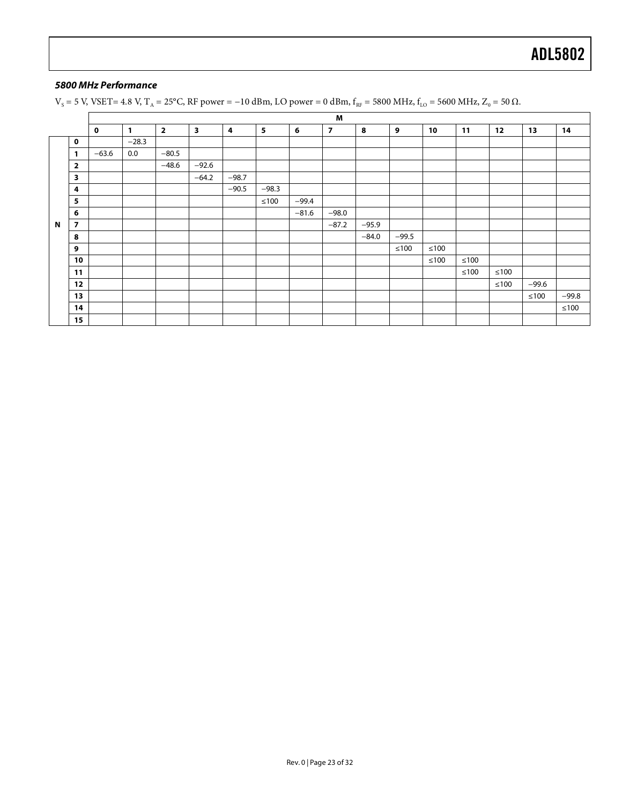#### *5800 MHz Performance*

 $V_s$  = 5 V, VSET= 4.8 V, T<sub>A</sub> = 25°C, RF power = -10 dBm, LO power = 0 dBm,  $f_{RF}$  = 5800 MHz,  $f_{LO}$  = 5600 MHz,  $Z_0$  = 50  $\Omega$ .

|             |                |             |              |                |                         |         |         |         | M              |         |         |        |      |        |         |         |
|-------------|----------------|-------------|--------------|----------------|-------------------------|---------|---------|---------|----------------|---------|---------|--------|------|--------|---------|---------|
|             |                | $\mathbf 0$ | $\mathbf{1}$ | $\overline{2}$ | $\overline{\mathbf{3}}$ | 4       | 5       | 6       | $\overline{7}$ | 8       | 9       | 10     | 11   | 12     | 13      | 14      |
|             | $\mathbf 0$    |             | $-28.3$      |                |                         |         |         |         |                |         |         |        |      |        |         |         |
|             | 1              | $-63.6$     | 0.0          | $-80.5$        |                         |         |         |         |                |         |         |        |      |        |         |         |
|             | $\overline{2}$ |             |              | $-48.6$        | $-92.6$                 |         |         |         |                |         |         |        |      |        |         |         |
|             | 3              |             |              |                | $-64.2$                 | $-98.7$ |         |         |                |         |         |        |      |        |         |         |
|             | 4              |             |              |                |                         | $-90.5$ | $-98.3$ |         |                |         |         |        |      |        |         |         |
|             | 5              |             |              |                |                         |         | ≤100    | $-99.4$ |                |         |         |        |      |        |         |         |
|             | 6              |             |              |                |                         |         |         | $-81.6$ | $-98.0$        |         |         |        |      |        |         |         |
| $\mathbf N$ | 7              |             |              |                |                         |         |         |         | $-87.2$        | $-95.9$ |         |        |      |        |         |         |
|             | 8              |             |              |                |                         |         |         |         |                | $-84.0$ | $-99.5$ |        |      |        |         |         |
|             | 9              |             |              |                |                         |         |         |         |                |         | $≤100$  | $≤100$ |      |        |         |         |
|             | 10             |             |              |                |                         |         |         |         |                |         |         | $≤100$ | ≤100 |        |         |         |
|             | 11             |             |              |                |                         |         |         |         |                |         |         |        | ≤100 | $≤100$ |         |         |
|             | 12             |             |              |                |                         |         |         |         |                |         |         |        |      | $≤100$ | $-99.6$ |         |
|             | 13             |             |              |                |                         |         |         |         |                |         |         |        |      |        | ≤100    | $-99.8$ |
|             | 14             |             |              |                |                         |         |         |         |                |         |         |        |      |        |         | $≤100$  |
|             | 15             |             |              |                |                         |         |         |         |                |         |         |        |      |        |         |         |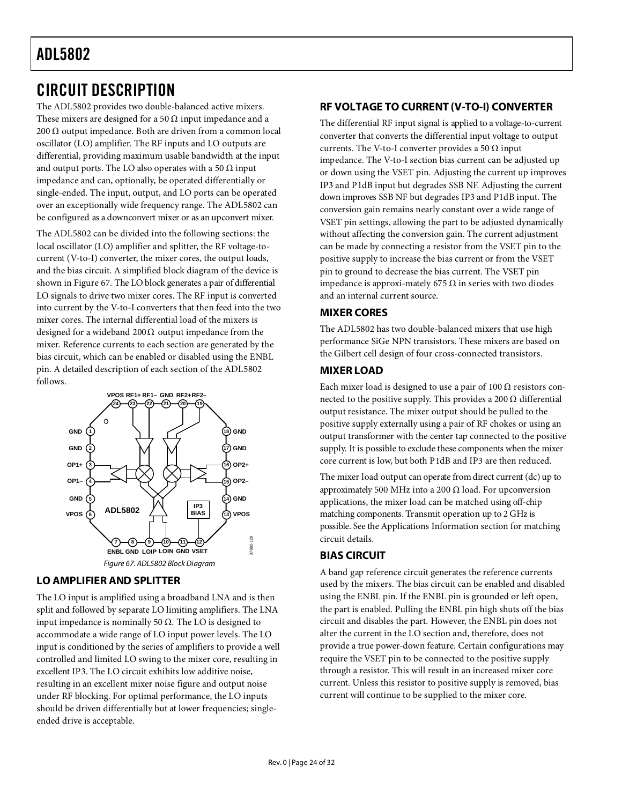#### <span id="page-23-0"></span>CIRCUIT DESCRIPTION

The ADL5802 provides two double-balanced active mixers. These mixers are designed for a 50  $\Omega$  input impedance and a 200 Ω output impedance. Both are driven from a common local oscillator (LO) amplifier. The RF inputs and LO outputs are differential, providing maximum usable bandwidth at the input and output ports. The LO also operates with a 50  $\Omega$  input impedance and can, optionally, be operated differentially or single-ended. The input, output, and LO ports can be operated over an exceptionally wide frequency range. The ADL5802 can be configured as a downconvert mixer or as an upconvert mixer.

The ADL5802 can be divided into the following sections: the local oscillator (LO) amplifier and splitter, the RF voltage-tocurrent (V-to-I) converter, the mixer cores, the output loads, and the bias circuit. A simplified block diagram of the device is shown in [Figure 67.](#page-23-6) The LO block generates a pair of differential LO signals to drive two mixer cores. The RF input is converted into current by the V-to-I converters that then feed into the two mixer cores. The internal differential load of the mixers is designed for a wideband 200  $\Omega$  output impedance from the mixer. Reference currents to each section are generated by the bias circuit, which can be enabled or disabled using the ENBL pin. A detailed description of each section of the ADL5802 follows.



#### <span id="page-23-6"></span><span id="page-23-1"></span>**LO AMPLIFIER AND SPLITTER**

The LO input is amplified using a broadband LNA and is then split and followed by separate LO limiting amplifiers. The LNA input impedance is nominally 50 Ω. The LO is designed to accommodate a wide range of LO input power levels. The LO input is conditioned by the series of amplifiers to provide a well controlled and limited LO swing to the mixer core, resulting in excellent IP3. The LO circuit exhibits low additive noise, resulting in an excellent mixer noise figure and output noise under RF blocking. For optimal performance, the LO inputs should be driven differentially but at lower frequencies; singleended drive is acceptable.

#### <span id="page-23-2"></span>**RF VOLTAGE TO CURRENT (V-TO-I) CONVERTER**

The differential RF input signal is applied to a voltage-to-current converter that converts the differential input voltage to output currents. The V-to-I converter provides a 50  $\Omega$  input impedance. The V-to-I section bias current can be adjusted up or down using the VSET pin. Adjusting the current up improves IP3 and P1dB input but degrades SSB NF. Adjusting the current down improves SSB NF but degrades IP3 and P1dB input. The conversion gain remains nearly constant over a wide range of VSET pin settings, allowing the part to be adjusted dynamically without affecting the conversion gain. The current adjustment can be made by connecting a resistor from the VSET pin to the positive supply to increase the bias current or from the VSET pin to ground to decrease the bias current. The VSET pin impedance is approxi-mately 675 Ω in series with two diodes and an internal current source.

#### <span id="page-23-3"></span>**MIXER CORES**

The ADL5802 has two double-balanced mixers that use high performance SiGe NPN transistors. These mixers are based on the Gilbert cell design of four cross-connected transistors.

#### <span id="page-23-4"></span>**MIXER LOAD**

Each mixer load is designed to use a pair of  $100 \Omega$  resistors connected to the positive supply. This provides a 200  $\Omega$  differential output resistance. The mixer output should be pulled to the positive supply externally using a pair of RF chokes or using an output transformer with the center tap connected to the positive supply. It is possible to exclude these components when the mixer core current is low, but both P1dB and IP3 are then reduced.

The mixer load output can operate from direct current (dc) up to approximately 500 MHz into a 200  $\Omega$  load. For upconversion applications, the mixer load can be matched using off-chip matching components. Transmit operation up to 2 GHz is possible. See th[e Applications Information](#page-24-0) section for matching circuit details.

#### <span id="page-23-5"></span>**BIAS CIRCUIT**

A band gap reference circuit generates the reference currents used by the mixers. The bias circuit can be enabled and disabled using the ENBL pin. If the ENBL pin is grounded or left open, the part is enabled. Pulling the ENBL pin high shuts off the bias circuit and disables the part. However, the ENBL pin does not alter the current in the LO section and, therefore, does not provide a true power-down feature. Certain configurations may require the VSET pin to be connected to the positive supply through a resistor. This will result in an increased mixer core current. Unless this resistor to positive supply is removed, bias current will continue to be supplied to the mixer core.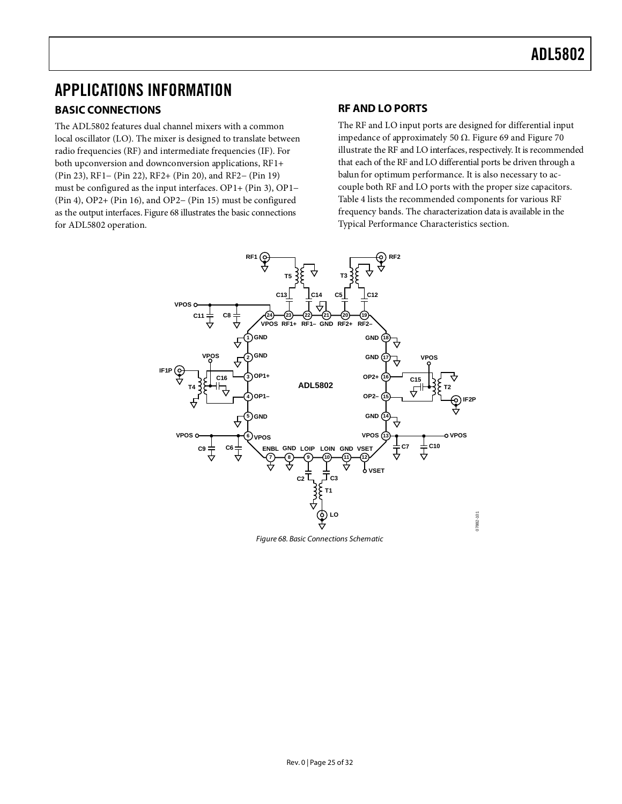### <span id="page-24-1"></span><span id="page-24-0"></span>APPLICATIONS INFORMATION **BASIC CONNECTIONS**

The ADL5802 features dual channel mixers with a common local oscillator (LO). The mixer is designed to translate between radio frequencies (RF) and intermediate frequencies (IF). For both upconversion and downconversion applications, RF1+ (Pin 23), RF1− (Pin 22), RF2+ (Pin 20), and RF2− (Pin 19) must be configured as the input interfaces. OP1+ (Pin 3), OP1− (Pin 4), OP2+ (Pin 16), and OP2− (Pin 15) must be configured as the output interfaces[. Figure 68](#page-24-3) illustrates the basic connections for ADL5802 operation.

#### <span id="page-24-2"></span>**RF AND LO PORTS**

The RF and LO input ports are designed for differential input impedance of approximately 50 Ω. [Figure 69](#page-25-1) and [Figure 70](#page-25-2) illustrate the RF and LO interfaces, respectively. It is recommended that each of the RF and LO differential ports be driven through a balun for optimum performance. It is also necessary to accouple both RF and LO ports with the proper size capacitors. [Table 4](#page-25-3) lists the recommended components for various RF frequency bands. The characterization data is available in the [Typical Performance Characteristics](#page-6-0) section.



<span id="page-24-3"></span>*Figure 68. Basic Connections Schematic*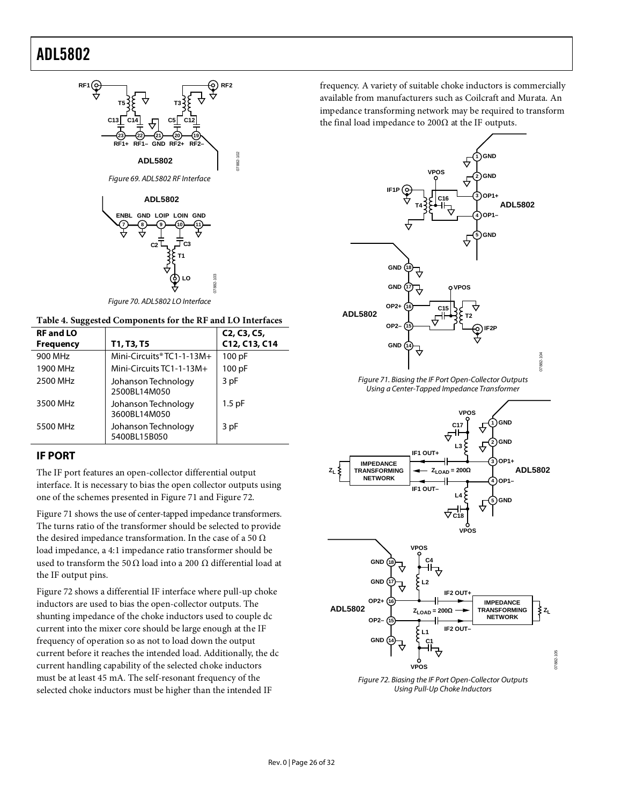



07882-102

<span id="page-25-1"></span>

*Figure 70. ADL5802 LO Interface*

<span id="page-25-3"></span><span id="page-25-2"></span>

| <b>RF and LO</b> |                                     | C <sub>2</sub> , C <sub>3</sub> , C <sub>5</sub> , |
|------------------|-------------------------------------|----------------------------------------------------|
| <b>Frequency</b> | T1, T3, T5                          | C12, C13, C14                                      |
| 900 MHz          | Mini-Circuits® $TC1-1-13M+$         | 100 pF                                             |
| 1900 MHz         | Mini-Circuits TC1-1-13M+            | 100 pF                                             |
| 2500 MHz         | Johanson Technology<br>2500BL14M050 | 3 pF                                               |
| 3500 MHz         | Johanson Technology<br>3600BL14M050 | $1.5$ pF                                           |
| 5500 MHz         | Johanson Technology<br>5400BL15B050 | 3 pF                                               |

#### <span id="page-25-0"></span>**IF PORT**

The IF port features an open-collector differential output interface. It is necessary to bias the open collector outputs using one of the schemes presented in [Figure 71](#page-25-4) and [Figure 72.](#page-25-5) 

[Figure 71](#page-25-4) shows the use of center-tapped impedance transformers. The turns ratio of the transformer should be selected to provide the desired impedance transformation. In the case of a 50  $\Omega$ load impedance, a 4:1 impedance ratio transformer should be used to transform the 50  $\Omega$  load into a 200  $\Omega$  differential load at the IF output pins.

[Figure 72](#page-25-5) shows a differential IF interface where pull-up choke inductors are used to bias the open-collector outputs. The shunting impedance of the choke inductors used to couple dc current into the mixer core should be large enough at the IF frequency of operation so as not to load down the output current before it reaches the intended load. Additionally, the dc current handling capability of the selected choke inductors must be at least 45 mA. The self-resonant frequency of the selected choke inductors must be higher than the intended IF

frequency. A variety of suitable choke inductors is commercially available from manufacturers such as Coilcraft and Murata. An impedance transforming network may be required to transform the final load impedance to 200 $\Omega$  at the IF outputs.



*Figure 71. Biasing the IF Port Open-Collector Outputs Using a Center-Tapped Impedance Transformer*

<span id="page-25-4"></span>

<span id="page-25-5"></span>*Figure 72. Biasing the IF Port Open-Collector Outputs Using Pull-Up Choke Inductors*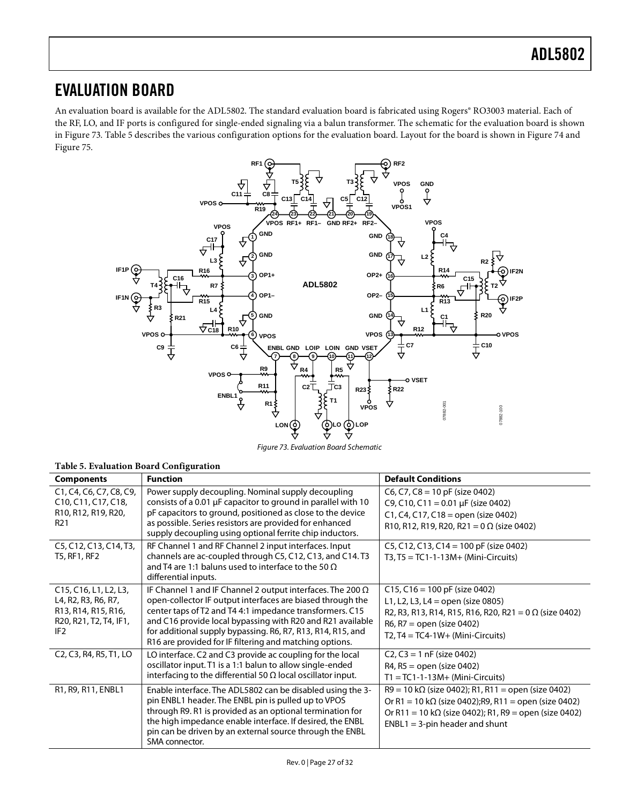#### <span id="page-26-0"></span>EVALUATION BOARD

An evaluation board is available for the ADL5802. The standard evaluation board is fabricated using Rogers® RO3003 material. Each of the RF, LO, and IF ports is configured for single-ended signaling via a balun transformer. The schematic for the evaluation board is shown in [Figure 73.](#page-26-1) [Table 5](#page-26-2) describes the various configuration options for the evaluation board. Layout for the board is shown i[n Figure 74](#page-27-0) and [Figure 75.](#page-27-1) 



*Figure 73. Evaluation Board Schematic*

<span id="page-26-2"></span><span id="page-26-1"></span>

| Table 5. Evaluation Board Configuration                                                                          |                                                                                                                                                                                                                                                                                                                                                                                     |                                                                                                                                                                                                                                  |  |  |  |  |
|------------------------------------------------------------------------------------------------------------------|-------------------------------------------------------------------------------------------------------------------------------------------------------------------------------------------------------------------------------------------------------------------------------------------------------------------------------------------------------------------------------------|----------------------------------------------------------------------------------------------------------------------------------------------------------------------------------------------------------------------------------|--|--|--|--|
| <b>Components</b>                                                                                                | <b>Function</b>                                                                                                                                                                                                                                                                                                                                                                     | <b>Default Conditions</b>                                                                                                                                                                                                        |  |  |  |  |
| C1, C4, C6, C7, C8, C9,<br>C10, C11, C17, C18,<br>R10, R12, R19, R20,<br>R <sub>21</sub>                         | Power supply decoupling. Nominal supply decoupling<br>consists of a 0.01 µF capacitor to ground in parallel with 10<br>pF capacitors to ground, positioned as close to the device<br>as possible. Series resistors are provided for enhanced<br>supply decoupling using optional ferrite chip inductors.                                                                            | $C6$ , C7, C8 = 10 pF (size 0402)<br>C9, C10, C11 = 0.01 µF (size 0402)<br>C1, C4, C17, C18 = open (size 0402)<br>R10, R12, R19, R20, R21 = $0 \Omega$ (size 0402)                                                               |  |  |  |  |
| C5, C12, C13, C14, T3,<br>T5, RF1, RF2                                                                           | RF Channel 1 and RF Channel 2 input interfaces. Input<br>channels are ac-coupled through C5, C12, C13, and C14. T3<br>and T4 are 1:1 baluns used to interface to the 50 $\Omega$<br>differential inputs.                                                                                                                                                                            | C5, C12, C13, C14 = 100 pF (size 0402)<br>$T3, T5 = TC1-1-13M + (Mini-Circuits)$                                                                                                                                                 |  |  |  |  |
| C15, C16, L1, L2, L3,<br>L4, R2, R3, R6, R7,<br>R13, R14, R15, R16,<br>R20, R21, T2, T4, IF1,<br>IF <sub>2</sub> | IF Channel 1 and IF Channel 2 output interfaces. The 200 $\Omega$<br>open-collector IF output interfaces are biased through the<br>center taps of T2 and T4 4:1 impedance transformers. C15<br>and C16 provide local bypassing with R20 and R21 available<br>for additional supply bypassing. R6, R7, R13, R14, R15, and<br>R16 are provided for IF filtering and matching options. | $C15$ , $C16 = 100$ pF (size 0402)<br>L1, L2, L3, L4 = open (size 0805)<br>R2, R3, R13, R14, R15, R16, R20, R21 = 0 $\Omega$ (size 0402)<br>$R6, R7 = open (size 0402)$<br>$T2, T4 = TC4-1W+ (Mini-Circuits)$                    |  |  |  |  |
| C <sub>2</sub> , C <sub>3</sub> , R <sub>4</sub> , R <sub>5</sub> , T <sub>1</sub> , LO                          | LO interface. C2 and C3 provide ac coupling for the local<br>oscillator input. T1 is a 1:1 balun to allow single-ended<br>interfacing to the differential 50 $\Omega$ local oscillator input.                                                                                                                                                                                       | $C2, C3 = 1$ nF (size 0402)<br>R4, R5 = open (size 0402)<br>$T1 = TC1-1-13M+ (Mini-Circuits)$                                                                                                                                    |  |  |  |  |
| R1, R9, R11, ENBL1                                                                                               | Enable interface. The ADL5802 can be disabled using the 3-<br>pin ENBL1 header. The ENBL pin is pulled up to VPOS<br>through R9. R1 is provided as an optional termination for<br>the high impedance enable interface. If desired, the ENBL<br>pin can be driven by an external source through the ENBL<br>SMA connector.                                                           | $R9 = 10 k\Omega$ (size 0402); R1, R11 = open (size 0402)<br>Or R1 = 10 k $\Omega$ (size 0402); R9, R11 = open (size 0402)<br>Or R11 = 10 k $\Omega$ (size 0402); R1, R9 = open (size 0402)<br>$ENBL1 = 3$ -pin header and shunt |  |  |  |  |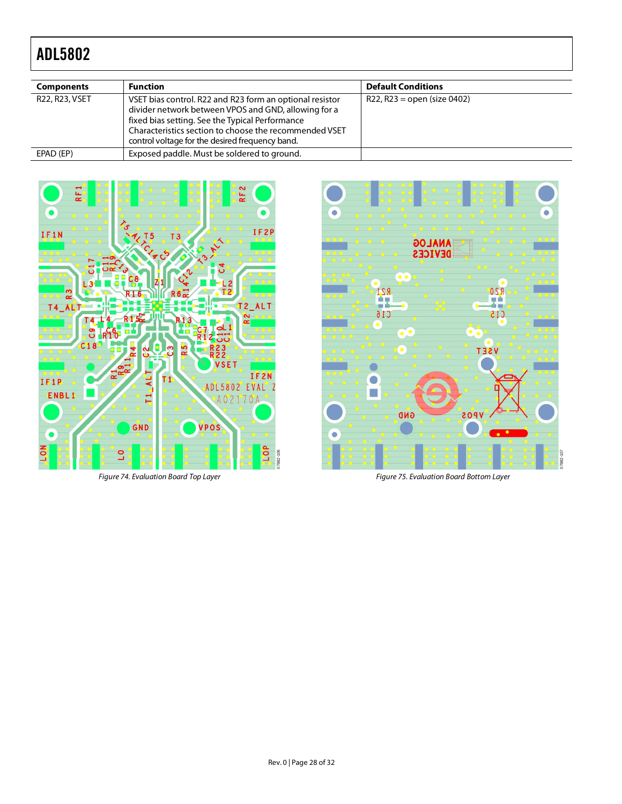| <b>Components</b> | <b>Function</b>                                                                                                                                                                                                                                                                  | <b>Default Conditions</b>     |
|-------------------|----------------------------------------------------------------------------------------------------------------------------------------------------------------------------------------------------------------------------------------------------------------------------------|-------------------------------|
| R22, R23, VSET    | VSET bias control. R22 and R23 form an optional resistor<br>divider network between VPOS and GND, allowing for a<br>fixed bias setting. See the Typical Performance<br>Characteristics section to choose the recommended VSET<br>control voltage for the desired frequency band. | $R22, R23 = open (size 0402)$ |
| EPAD (EP)         | Exposed paddle. Must be soldered to ground.                                                                                                                                                                                                                                      |                               |



<span id="page-27-0"></span>*Figure 74. Evaluation Board Top Layer*



<span id="page-27-1"></span>*Figure 75. Evaluation Board Bottom Layer*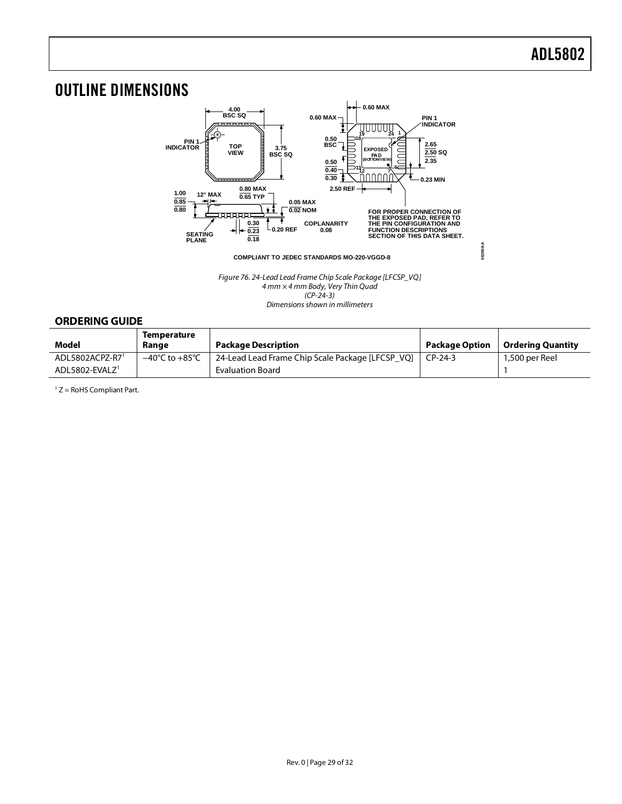**082908-A**

### <span id="page-28-0"></span>OUTLINE DIMENSIONS



*Figure 76. 24-Lead Lead Frame Chip Scale Package [LFCSP\_VQ] 4 mm × 4 mm Body, Very Thin Quad (CP-24-3)* 

*Dimensions shown in millimeters*

#### <span id="page-28-1"></span>**ORDERING GUIDE**

<span id="page-28-2"></span>

| Model                      | Temperature<br>Range | <b>Package Description</b>                       | <b>Package Option</b> | <b>Ordering Quantity</b> |
|----------------------------|----------------------|--------------------------------------------------|-----------------------|--------------------------|
| ADL5802ACPZ-R71            | –40°C to +85°C       | 24-Lead Lead Frame Chip Scale Package [LFCSP VQ] | $CP-24-3$             | 1.500 per Reel           |
| ADL5802-EVALZ <sup>1</sup> |                      | <b>Evaluation Board</b>                          |                       |                          |

 $1 Z =$  RoHS Compliant Part.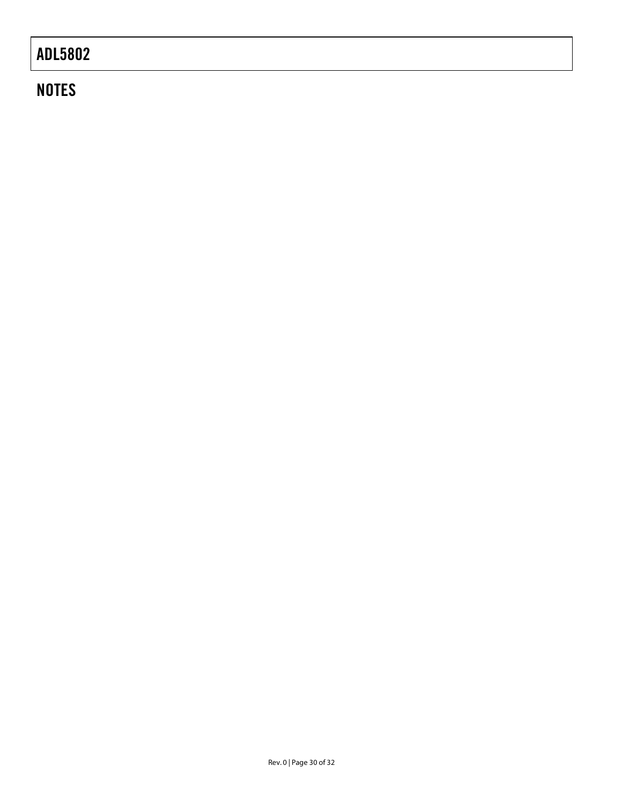## **NOTES**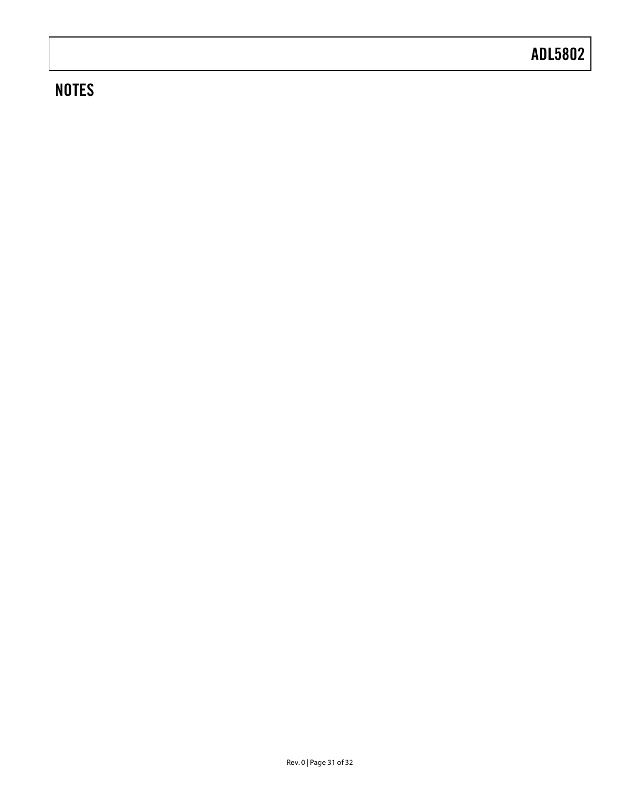## **NOTES**